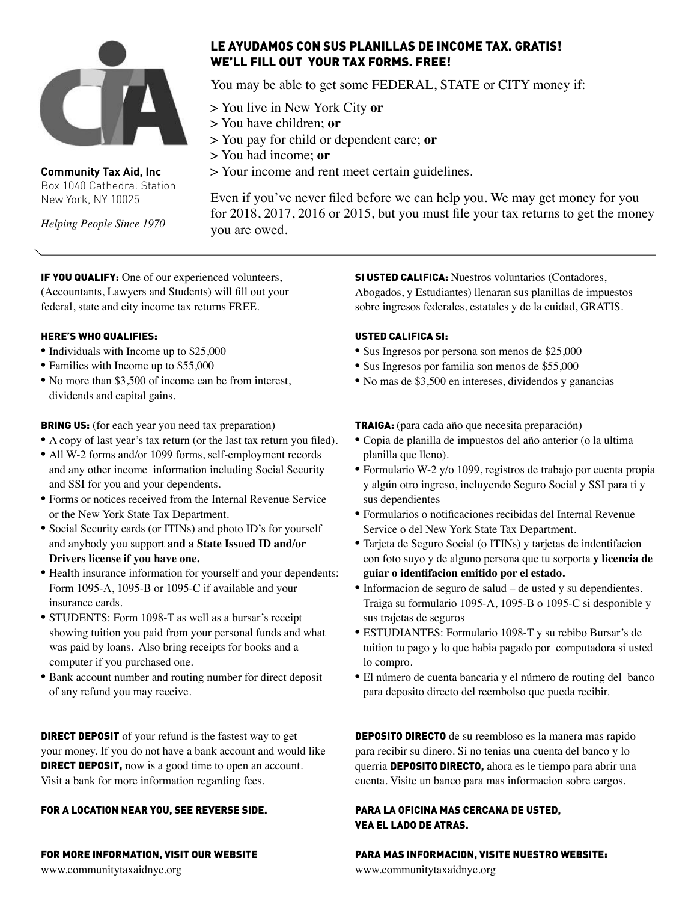

**Community Tax Aid, Inc** Box 1040 Cathedral Station New York, NY 10025

*Helping People Since 1970*

## LE AYUDAMOS CON SUS PLANILLAS DE INCOME TAX. GRATIS! WE'LL FILL OUT YOUR TAX FORMS. FREE!

You may be able to get some FEDERAL, STATE or CITY money if:

> You live in New York City **or**

- > You have children; **or**
- > You pay for child or dependent care; **or**
- > You had income; **or**
- > Your income and rent meet certain guidelines.

Even if you've never filed before we can help you. We may get money for you for 2018, 2017, 2016 or 2015, but you must file your tax returns to get the money you are owed.

IF YOU QUALIFY: One of our experienced volunteers, (Accountants, Lawyers and Students) will fill out your federal, state and city income tax returns FREE.

#### HERE'S WHO QUALIFIES:

- Individuals with Income up to \$25,000
- Families with Income up to \$55,000
- No more than \$3,500 of income can be from interest, dividends and capital gains.

**BRING US:** (for each year you need tax preparation)

- A copy of last year's tax return (or the last tax return you filed).
- All W-2 forms and/or 1099 forms, self-employment records and any other income information including Social Security and SSI for you and your dependents.
- Forms or notices received from the Internal Revenue Service or the New York State Tax Department.
- Social Security cards (or ITINs) and photo ID's for yourself and anybody you support **and a State Issued ID and/or Drivers license if you have one.**
- Health insurance information for yourself and your dependents: Form 1095-A, 1095-B or 1095-C if available and your insurance cards.
- STUDENTS: Form 1098-T as well as a bursar's receipt showing tuition you paid from your personal funds and what was paid by loans. Also bring receipts for books and a computer if you purchased one.
- Bank account number and routing number for direct deposit of any refund you may receive.

**DIRECT DEPOSIT** of your refund is the fastest way to get your money. If you do not have a bank account and would like **DIRECT DEPOSIT,** now is a good time to open an account. Visit a bank for more information regarding fees.

#### FOR A LOCATION NEAR YOU, SEE REVERSE SIDE.

#### FOR MORE INFORMATION, VISIT OUR WEBSITE

www.communitytaxaidnyc.org

**SI USTED CALLFICA:** Nuestros voluntarios (Contadores, Abogados, y Estudiantes) llenaran sus planillas de impuestos sobre ingresos federales, estatales y de la cuidad, GRATIS.

#### USTED CALIFICA SI:

- Sus Ingresos por persona son menos de \$25,000
- Sus Ingresos por familia son menos de \$55,000
- No mas de \$3,500 en intereses, dividendos y ganancias

TRAIGA: (para cada año que necesita preparación)

- Copia de planilla de impuestos del año anterior (o la ultima planilla que lleno).
- Formulario W-2 y/o 1099, registros de trabajo por cuenta propia y algún otro ingreso, incluyendo Seguro Social y SSI para ti y sus dependientes
- Formularios o notificaciones recibidas del Internal Revenue Service o del New York State Tax Department.
- Tarjeta de Seguro Social (o ITINs) y tarjetas de indentifacion con foto suyo y de alguno persona que tu sorporta **y licencia de guiar o identifacion emitido por el estado.**
- Informacion de seguro de salud de usted y su dependientes. Traiga su formulario 1095-A, 1095-B o 1095-C si desponible y sus trajetas de seguros
- ESTUDIANTES: Formulario 1098-T y su rebibo Bursar's de tuition tu pago y lo que habia pagado por computadora si usted lo compro.
- El número de cuenta bancaria y el número de routing del banco para deposito directo del reembolso que pueda recibir.

DEPOSITO DIRECTO de su reembloso es la manera mas rapido para recibir su dinero. Si no tenias una cuenta del banco y lo querria DEPOSITO DIRECTO, ahora es le tiempo para abrir una cuenta. Visite un banco para mas informacion sobre cargos.

### PARA LA OFICINA MAS CERCANA DE USTED, VEA EL LADO DE ATRAS.

#### PARA MAS INFORMACION, VISITE NUESTRO WEBSITE:

www.communitytaxaidnyc.org